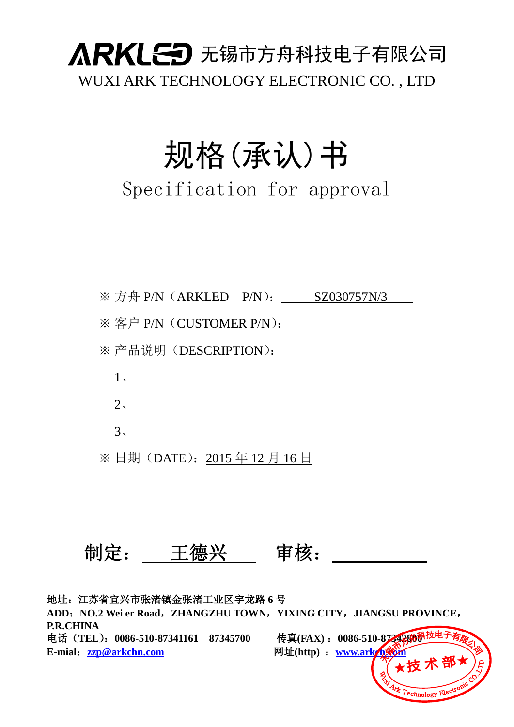## ARKLED 无锡市方舟科技电子有限公司 WUXI ARK TECHNOLOGY ELECTRONIC CO. , LTD

# 规格(承认)书

### Specification for approval

|                 |                          |                         | ※方舟 P/N(ARKLED P/N): SZ030757N/3 |
|-----------------|--------------------------|-------------------------|----------------------------------|
|                 | ※ 客户 P/N (CUSTOMER P/N): |                         |                                  |
|                 | ※产品说明 (DESCRIPTION):     |                         |                                  |
| $1\overline{ }$ |                          |                         |                                  |
| $2\sqrt{ }$     |                          |                         |                                  |
| $3\overline{)}$ |                          |                         |                                  |
|                 |                          | ※日期 (DATE): 2015年12月16日 |                                  |

### 制定:王德兴审核:

地址:江苏省宜兴市张渚镇金张渚工业区宇龙路 **6** 号 **ADD**:**NO.2 Wei er Road**,**ZHANGZHU TOWN**,**YIXING CITY**,**JIANGSU PROVINCE**, **P.R.CHINA** 电话(TEL): 0086-510-87341161 87345700 传真(FAX): 0086-510-87342800 **E-mial**:**[zzp@arkchn.com](file://192.168.16.249/技术部文件/规格书/标本/规格书资料/zhuzp@arkch.com)** 网址**(http)** :**[www.arkch.com](http://www.arkch.com/)**

 $\mathbb{C}^T$ echnology E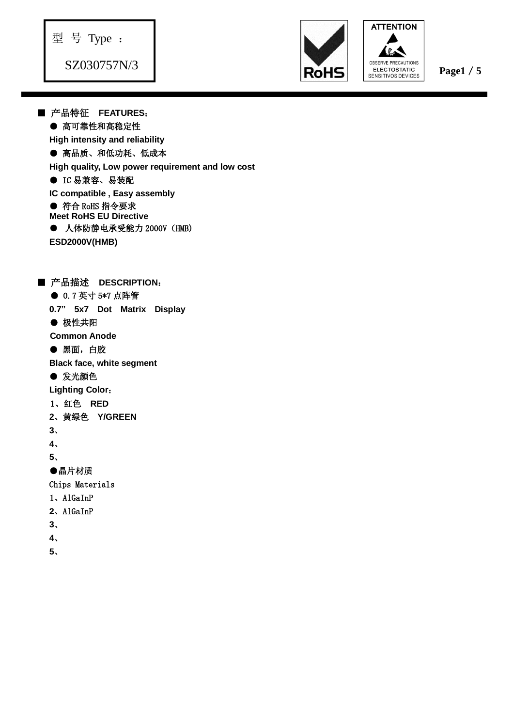型 号 Type :



**ATTENTION Alas** 

■ 产品特征 **FEATURES**: ● 高可靠性和高稳定性 **High intensity and reliability** ● 高品质、和低功耗、低成本 **High quality, Low power requirement and low cost** ● IC 易兼容、易装配 **IC compatible , Easy assembly** ● 符合 RoHS 指令要求 **Meet RoHS EU Directive** ● 人体防静电承受能力 2000V (HMB) **ESD2000V(HMB)** ■ 产品描述 **DESCRIPTION**: ● 0.7 英寸 5\*7 点阵管 **0.7" 5x7 Dot Matrix Display** ● 极性共阳 **Common Anode** ● 黑面,白胶 **Black face, white segment** ● 发光颜色 **Lighting Color**: **1**、红色 **RED 2**、黄绿色 **Y/GREEN 3**、 **4**、 **5**、 ●晶片材质 Chips Materials 1、AlGaInP **2**、AlGaInP **3**、 **4**、 **5**、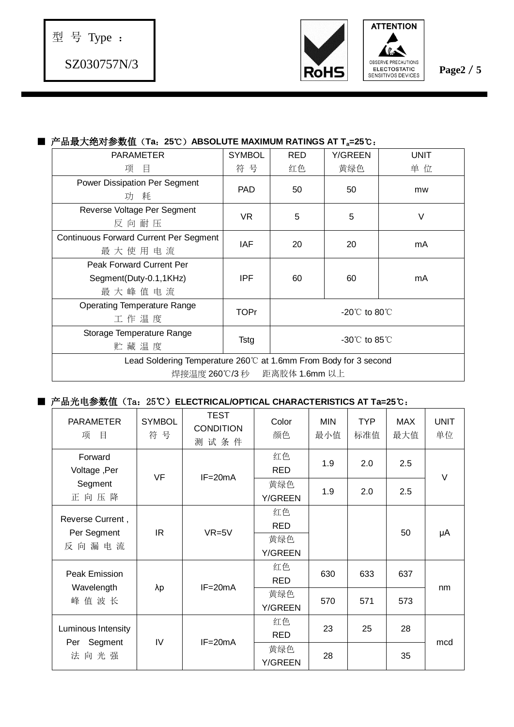Ξ



#### ■ 产品最大绝对参数值(**Ta**:**25**℃)**ABSOLUTE MAXIMUM RATINGS AT Ta=25**℃:

| <b>PARAMETER</b>                                                                                           | <b>SYMBOL</b> | RED                              | Y/GREEN | <b>UNIT</b> |  |  |
|------------------------------------------------------------------------------------------------------------|---------------|----------------------------------|---------|-------------|--|--|
| 目<br>项                                                                                                     | 符号            | 红色                               | 黄绿色     | 单 位         |  |  |
| Power Dissipation Per Segment<br>功 耗                                                                       | <b>PAD</b>    | 50                               | 50      | mw          |  |  |
| Reverse Voltage Per Segment<br>反 向 耐 压                                                                     | VR.           | 5<br>5                           |         | V           |  |  |
| <b>Continuous Forward Current Per Segment</b><br>最大使用电流                                                    | <b>IAF</b>    | 20                               | 20      | mA          |  |  |
| <b>Peak Forward Current Per</b><br>Segment(Duty-0.1,1KHz)<br>最大峰值电流                                        | IPF           | 60                               | 60      | mA          |  |  |
| <b>Operating Temperature Range</b><br>工作温度                                                                 | <b>TOPr</b>   | $-20^{\circ}$ to 80 $^{\circ}$ C |         |             |  |  |
| Storage Temperature Range<br>贮藏温度                                                                          | Tstg          | $-30^{\circ}$ to 85 $^{\circ}$ C |         |             |  |  |
| Lead Soldering Temperature $260^{\circ}$ at 1.6mm From Body for 3 second<br>距离胶体 1.6mm 以上<br>焊接温度 260℃/3 秒 |               |                                  |         |             |  |  |

#### ■ 产品光电参数值(Ta:25℃)**ELECTRICAL/OPTICAL CHARACTERISTICS AT Ta=25**℃:

| <b>PARAMETER</b><br>目<br>项               | <b>SYMBOL</b><br>符号 | <b>TEST</b><br><b>CONDITION</b><br>测试条件 | Color<br>颜色                        | <b>MIN</b><br>最小值 | <b>TYP</b><br>标准值 | <b>MAX</b><br>最大值 | <b>UNIT</b><br>单位 |
|------------------------------------------|---------------------|-----------------------------------------|------------------------------------|-------------------|-------------------|-------------------|-------------------|
| Forward<br>Voltage, Per                  | <b>VF</b>           | $IF = 20mA$                             | 红色<br><b>RED</b>                   | 1.9               | 2.0               | 2.5               | V                 |
| Segment<br>正向压降                          |                     |                                         | 黄绿色<br>Y/GREEN                     | 1.9               | 2.0               | 2.5               |                   |
| Reverse Current,<br>Per Segment<br>反向漏电流 | IR.                 | $VR=5V$                                 | 红色<br><b>RED</b><br>黄绿色<br>Y/GREEN |                   |                   | 50                | μA                |
| Peak Emission<br>Wavelength              | λp                  | $IF = 20mA$                             | 红色<br><b>RED</b>                   | 630               | 633               | 637               |                   |
| 峰值波长                                     |                     |                                         | 黄绿色<br>Y/GREEN                     | 570               | 571               | 573               | nm                |
| Luminous Intensity                       | IV                  | $IF = 20mA$                             | 红色<br><b>RED</b>                   | 23                | 25                | 28                |                   |
| Per<br>Segment<br>向光强<br>法               |                     |                                         | 黄绿色<br>Y/GREEN                     | 28                |                   | 35                | mcd               |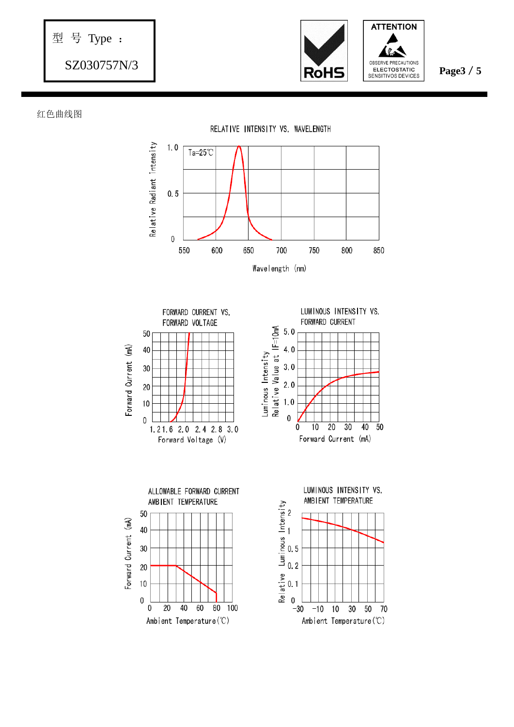



**ATTENTION** 

/ **5**

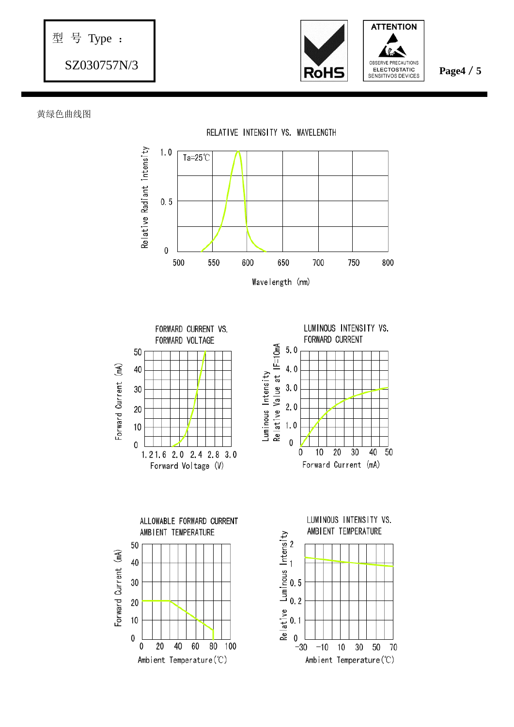



**ATTENTION** 

/ **5**